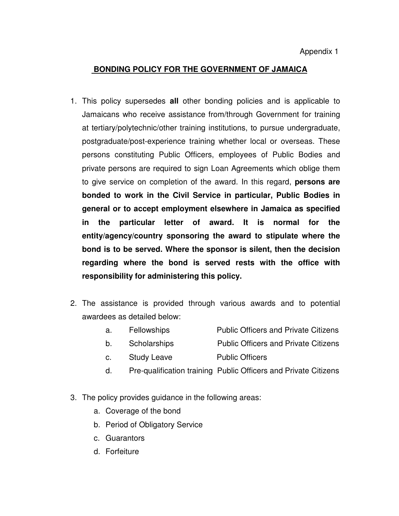Appendix 1

# **BONDING POLICY FOR THE GOVERNMENT OF JAMAICA**

- 1. This policy supersedes **all** other bonding policies and is applicable to Jamaicans who receive assistance from/through Government for training at tertiary/polytechnic/other training institutions, to pursue undergraduate, postgraduate/post-experience training whether local or overseas. These persons constituting Public Officers, employees of Public Bodies and private persons are required to sign Loan Agreements which oblige them to give service on completion of the award. In this regard, **persons are bonded to work in the Civil Service in particular, Public Bodies in general or to accept employment elsewhere in Jamaica as specified in the particular letter of award. It is normal for the entity/agency/country sponsoring the award to stipulate where the bond is to be served. Where the sponsor is silent, then the decision regarding where the bond is served rests with the office with responsibility for administering this policy.**
- 2. The assistance is provided through various awards and to potential awardees as detailed below:
	- a. Fellowships Public Officers and Private Citizens
	- b. Scholarships Public Officers and Private Citizens
	- c. Study Leave Public Officers
		- d. Pre-qualification training Public Officers and Private Citizens
- 3. The policy provides guidance in the following areas:
	- a. Coverage of the bond
	- b. Period of Obligatory Service
	- c. Guarantors
	- d. Forfeiture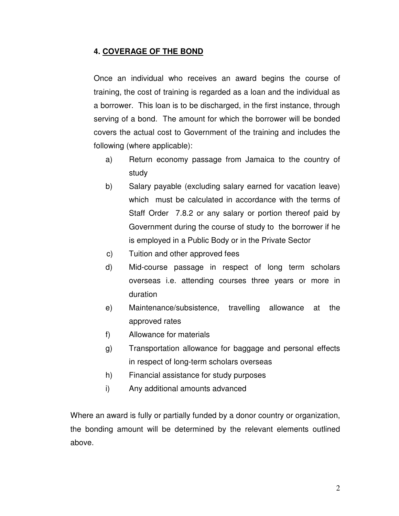# **4. COVERAGE OF THE BOND**

Once an individual who receives an award begins the course of training, the cost of training is regarded as a loan and the individual as a borrower. This loan is to be discharged, in the first instance, through serving of a bond. The amount for which the borrower will be bonded covers the actual cost to Government of the training and includes the following (where applicable):

- a) Return economy passage from Jamaica to the country of study
- b) Salary payable (excluding salary earned for vacation leave) which must be calculated in accordance with the terms of Staff Order 7.8.2 or any salary or portion thereof paid by Government during the course of study to the borrower if he is employed in a Public Body or in the Private Sector
- c) Tuition and other approved fees
- d) Mid-course passage in respect of long term scholars overseas i.e. attending courses three years or more in duration
- e) Maintenance/subsistence, travelling allowance at the approved rates
- f) Allowance for materials
- g) Transportation allowance for baggage and personal effects in respect of long-term scholars overseas
- h) Financial assistance for study purposes
- i) Any additional amounts advanced

Where an award is fully or partially funded by a donor country or organization, the bonding amount will be determined by the relevant elements outlined above.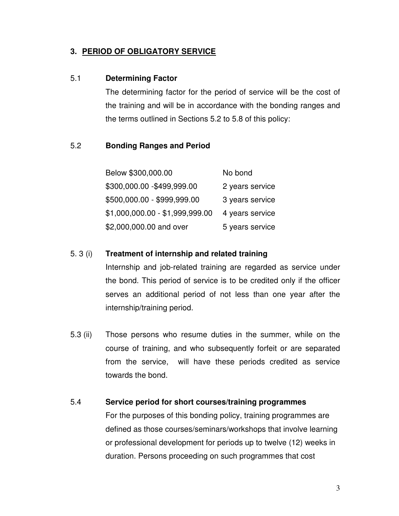## **3. PERIOD OF OBLIGATORY SERVICE**

## 5.1 **Determining Factor**

The determining factor for the period of service will be the cost of the training and will be in accordance with the bonding ranges and the terms outlined in Sections 5.2 to 5.8 of this policy:

# 5.2 **Bonding Ranges and Period**

| Below \$300,000.00              | No bond         |
|---------------------------------|-----------------|
| \$300,000.00 - \$499,999.00     | 2 years service |
| \$500,000.00 - \$999,999.00     | 3 years service |
| \$1,000,000.00 - \$1,999,999.00 | 4 years service |
| \$2,000,000.00 and over         | 5 years service |

## 5. 3 (i) **Treatment of internship and related training**

Internship and job-related training are regarded as service under the bond. This period of service is to be credited only if the officer serves an additional period of not less than one year after the internship/training period.

5.3 (ii) Those persons who resume duties in the summer, while on the course of training, and who subsequently forfeit or are separated from the service, will have these periods credited as service towards the bond.

# 5.4 **Service period for short courses/training programmes**

For the purposes of this bonding policy, training programmes are defined as those courses/seminars/workshops that involve learning or professional development for periods up to twelve (12) weeks in duration. Persons proceeding on such programmes that cost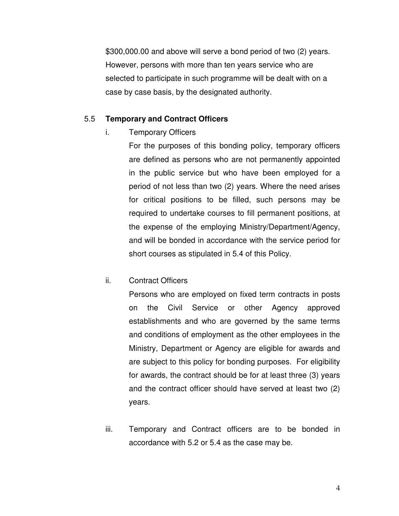\$300,000.00 and above will serve a bond period of two (2) years. However, persons with more than ten years service who are selected to participate in such programme will be dealt with on a case by case basis, by the designated authority.

#### 5.5 **Temporary and Contract Officers**

i. Temporary Officers

For the purposes of this bonding policy, temporary officers are defined as persons who are not permanently appointed in the public service but who have been employed for a period of not less than two (2) years. Where the need arises for critical positions to be filled, such persons may be required to undertake courses to fill permanent positions, at the expense of the employing Ministry/Department/Agency, and will be bonded in accordance with the service period for short courses as stipulated in 5.4 of this Policy.

#### ii. Contract Officers

Persons who are employed on fixed term contracts in posts on the Civil Service or other Agency approved establishments and who are governed by the same terms and conditions of employment as the other employees in the Ministry, Department or Agency are eligible for awards and are subject to this policy for bonding purposes. For eligibility for awards, the contract should be for at least three (3) years and the contract officer should have served at least two (2) years.

iii. Temporary and Contract officers are to be bonded in accordance with 5.2 or 5.4 as the case may be.

4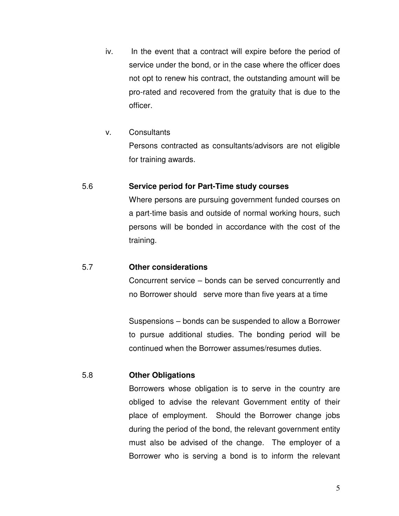- iv. In the event that a contract will expire before the period of service under the bond, or in the case where the officer does not opt to renew his contract, the outstanding amount will be pro-rated and recovered from the gratuity that is due to the officer.
- v. Consultants

Persons contracted as consultants/advisors are not eligible for training awards.

## 5.6 **Service period for Part-Time study courses**

Where persons are pursuing government funded courses on a part-time basis and outside of normal working hours, such persons will be bonded in accordance with the cost of the training.

## 5.7 **Other considerations**

Concurrent service – bonds can be served concurrently and no Borrower should serve more than five years at a time

Suspensions – bonds can be suspended to allow a Borrower to pursue additional studies. The bonding period will be continued when the Borrower assumes/resumes duties.

## 5.8 **Other Obligations**

Borrowers whose obligation is to serve in the country are obliged to advise the relevant Government entity of their place of employment. Should the Borrower change jobs during the period of the bond, the relevant government entity must also be advised of the change. The employer of a Borrower who is serving a bond is to inform the relevant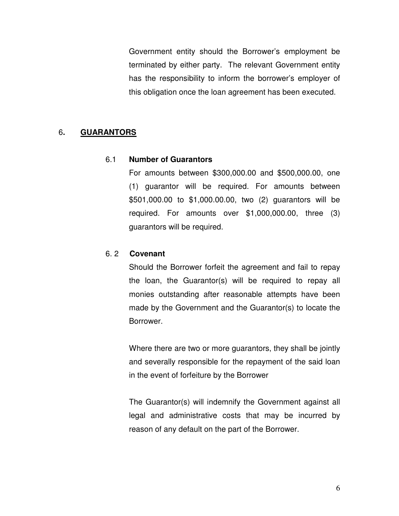Government entity should the Borrower's employment be terminated by either party. The relevant Government entity has the responsibility to inform the borrower's employer of this obligation once the loan agreement has been executed.

# 6**. GUARANTORS**

#### 6.1 **Number of Guarantors**

For amounts between \$300,000.00 and \$500,000.00, one (1) guarantor will be required. For amounts between \$501,000.00 to \$1,000.00.00, two (2) guarantors will be required. For amounts over \$1,000,000.00, three (3) guarantors will be required.

### 6. 2 **Covenant**

Should the Borrower forfeit the agreement and fail to repay the loan, the Guarantor(s) will be required to repay all monies outstanding after reasonable attempts have been made by the Government and the Guarantor(s) to locate the Borrower.

Where there are two or more guarantors, they shall be jointly and severally responsible for the repayment of the said loan in the event of forfeiture by the Borrower

The Guarantor(s) will indemnify the Government against all legal and administrative costs that may be incurred by reason of any default on the part of the Borrower.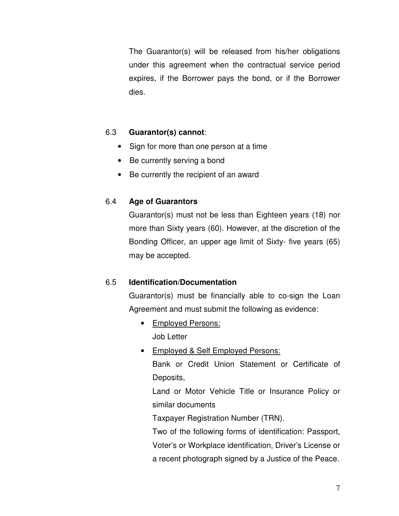The Guarantor(s) will be released from his/her obligations under this agreement when the contractual service period expires, if the Borrower pays the bond, or if the Borrower dies.

# 6.3 **Guarantor(s) cannot**:

- Sign for more than one person at a time
- Be currently serving a bond
- Be currently the recipient of an award

# 6.4 **Age of Guarantors**

Guarantor(s) must not be less than Eighteen years (18) nor more than Sixty years (60). However, at the discretion of the Bonding Officer, an upper age limit of Sixty- five years (65) may be accepted.

# 6.5 **Identification/Documentation**

Guarantor(s) must be financially able to co-sign the Loan Agreement and must submit the following as evidence:

- Employed Persons: Job Letter
- Employed & Self Employed Persons:

Bank or Credit Union Statement or Certificate of Deposits,

Land or Motor Vehicle Title or Insurance Policy or similar documents

Taxpayer Registration Number (TRN).

Two of the following forms of identification: Passport, Voter's or Workplace identification, Driver's License or a recent photograph signed by a Justice of the Peace.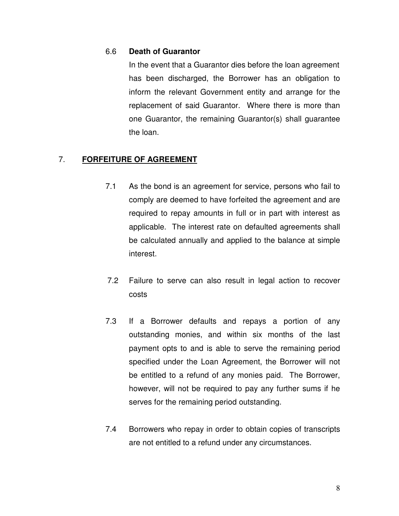#### 6.6 **Death of Guarantor**

In the event that a Guarantor dies before the loan agreement has been discharged, the Borrower has an obligation to inform the relevant Government entity and arrange for the replacement of said Guarantor. Where there is more than one Guarantor, the remaining Guarantor(s) shall guarantee the loan.

## 7. **FORFEITURE OF AGREEMENT**

- 7.1As the bond is an agreement for service, persons who fail to comply are deemed to have forfeited the agreement and are required to repay amounts in full or in part with interest as applicable. The interest rate on defaulted agreements shall be calculated annually and applied to the balance at simple interest.
- 7.2 Failure to serve can also result in legal action to recover costs
- 7.3 If a Borrower defaults and repays a portion of any outstanding monies, and within six months of the last payment opts to and is able to serve the remaining period specified under the Loan Agreement, the Borrower will not be entitled to a refund of any monies paid. The Borrower, however, will not be required to pay any further sums if he serves for the remaining period outstanding.
- 7.4 Borrowers who repay in order to obtain copies of transcripts are not entitled to a refund under any circumstances.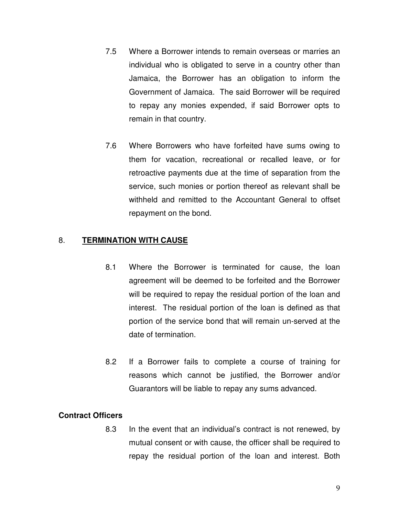- 7.5 Where a Borrower intends to remain overseas or marries an individual who is obligated to serve in a country other than Jamaica, the Borrower has an obligation to inform the Government of Jamaica. The said Borrower will be required to repay any monies expended, if said Borrower opts to remain in that country.
- 7.6 Where Borrowers who have forfeited have sums owing to them for vacation, recreational or recalled leave, or for retroactive payments due at the time of separation from the service, such monies or portion thereof as relevant shall be withheld and remitted to the Accountant General to offset repayment on the bond.

## 8. **TERMINATION WITH CAUSE**

- 8.1 Where the Borrower is terminated for cause, the loan agreement will be deemed to be forfeited and the Borrower will be required to repay the residual portion of the loan and interest. The residual portion of the loan is defined as that portion of the service bond that will remain un-served at the date of termination.
- 8.2 If a Borrower fails to complete a course of training for reasons which cannot be justified, the Borrower and/or Guarantors will be liable to repay any sums advanced.

## **Contract Officers**

8.3 In the event that an individual's contract is not renewed, by mutual consent or with cause, the officer shall be required to repay the residual portion of the loan and interest. Both